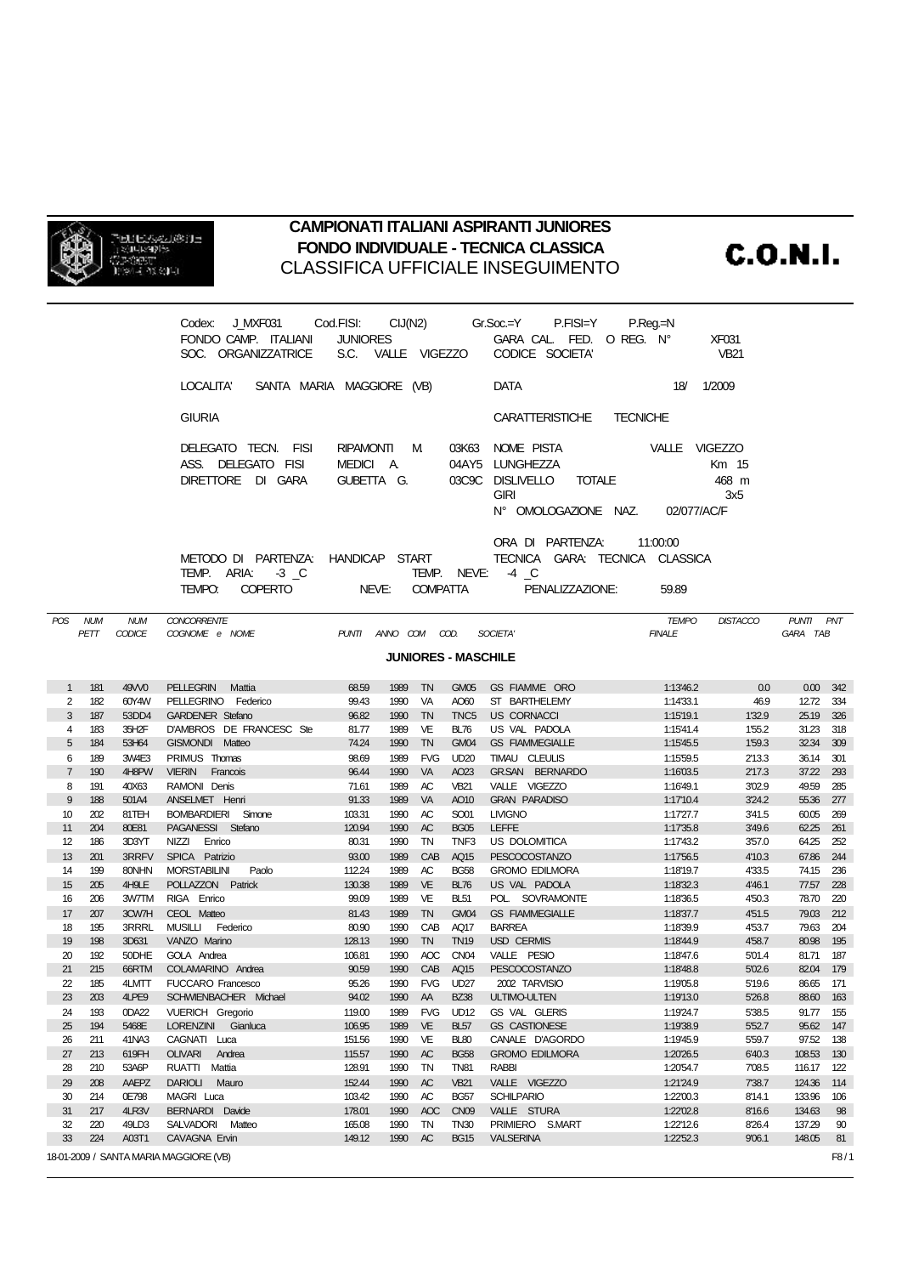

## **CAMPIONATI ITALIANI ASPIRANTI JUNIORES FONDO INDIVIDUALE - TECNICA CLASSICA** CLASSIFICA UFFICIALE INSEGUIMENTO

**C.O.N.I.** 

|                                                                                                                                                                                                                        |            |                                                                                                          | Codex: J_MXF031    Cod.FISI:    CIJ(N2)    Gr.Soc.=Y    P.FISI=Y<br>FONDO CAMP. ITALIANI<br>SOC. ORGANIZZATRICE | <b>JUNIORES</b>     |              |                  |                                                                                                                                                             | GARA CAL FED. O REG. N°<br>S.C. VALLE VIGEZZO CODICE SOCIETA' | $P_{\cdot}$ Reg $=$ N  | <b>XF031</b><br><b>VB21</b> |                        |                  |  |
|------------------------------------------------------------------------------------------------------------------------------------------------------------------------------------------------------------------------|------------|----------------------------------------------------------------------------------------------------------|-----------------------------------------------------------------------------------------------------------------|---------------------|--------------|------------------|-------------------------------------------------------------------------------------------------------------------------------------------------------------|---------------------------------------------------------------|------------------------|-----------------------------|------------------------|------------------|--|
|                                                                                                                                                                                                                        |            |                                                                                                          | LOCALITA' SANTA MARIA MAGGIORE (VB)                                                                             |                     |              |                  |                                                                                                                                                             | DATA                                                          | 18/ 1/2009             |                             |                        |                  |  |
|                                                                                                                                                                                                                        |            |                                                                                                          | <b>GIURIA</b>                                                                                                   |                     |              |                  |                                                                                                                                                             | CARATTERISTICHE<br><b>TECNICHE</b>                            |                        |                             |                        |                  |  |
|                                                                                                                                                                                                                        |            | DELEGATO TECN. FISI<br>RIPAMONTI M<br>ASS. DELEGATO FISI<br>MEDICI A.<br>DIRETTORE DI GARA<br>GUBETTA G. |                                                                                                                 |                     |              |                  | 03K63 NOME PISTA<br>VALLE VIGEZZO<br>04AY5 LUNGHEZZA<br>Km 15<br>03C9C DISLIVELLO TOTALE<br>468 m<br><b>GIRI</b><br>3x5<br>N° OMOLOGAZIONE NAZ. 02/077/AC/F |                                                               |                        |                             |                        |                  |  |
| ORA DI PARTENZA:<br>11:00:00<br>METODO DI PARTENZA: HANDICAP START<br>TECNICA GARA: TECNICA CLASSICA<br>TEMP. ARIA: -3 _C<br>TEMP. NEVE: 4 C<br>NEVE: COMPATTA<br>TEMPO:<br><b>COPERTO</b><br>PENALIZZAZIONE:<br>59.89 |            |                                                                                                          |                                                                                                                 |                     |              |                  |                                                                                                                                                             |                                                               |                        |                             |                        |                  |  |
|                                                                                                                                                                                                                        | POS NUM    | <b>NUM</b>                                                                                               | <b>CONCORRENTE</b>                                                                                              |                     |              |                  |                                                                                                                                                             |                                                               | <b>TEMPO</b>           | <b>DISTACCO</b>             | PUNTI PNT              |                  |  |
|                                                                                                                                                                                                                        | PETT       | CODICE                                                                                                   | COGNOME e NOME                                                                                                  | PUNTI ANNO COM COD. |              |                  |                                                                                                                                                             | SOCIETA'                                                      | <b>FINALE</b>          |                             | GARA TAB               |                  |  |
| <b>JUNIORES - MASCHILE</b>                                                                                                                                                                                             |            |                                                                                                          |                                                                                                                 |                     |              |                  |                                                                                                                                                             |                                                               |                        |                             |                        |                  |  |
| 1                                                                                                                                                                                                                      | 181        | 49W0                                                                                                     | PELLEGRIN Mattia                                                                                                | 68.59               | 1989 TN      |                  |                                                                                                                                                             | GM05 GS FIAMME ORO                                            | 1:13'46.2              | 0.0                         |                        | $0.00 \quad 342$ |  |
| 2                                                                                                                                                                                                                      | 182        | 60Y4W                                                                                                    | PELLEGRINO Federico                                                                                             | 99.43               | 1990         | - VA             | AO60                                                                                                                                                        | ST BARTHELEMY                                                 | 1:14'33.1              | 46.9                        | 12.72 334              |                  |  |
| 3                                                                                                                                                                                                                      | 187        | 53DD4                                                                                                    | <b>GARDENER Stefano</b>                                                                                         | 96.82               | 1990         | TN               | TNC <sub>5</sub>                                                                                                                                            | <b>US CORNACCI</b>                                            | 1:15'19.1              | 1'32.9                      | 25.19 326              |                  |  |
| 4<br>5                                                                                                                                                                                                                 | 183<br>184 | 35H2F<br>53H64                                                                                           | D'AMBROS DE FRANCESC Ste<br>GISMONDI Matteo                                                                     | 81.77<br>74.24      | 1989<br>1990 | VE<br>TN         | <b>BL76</b><br>GM04                                                                                                                                         | US VAL PADOLA<br><b>GS FIAMMEGIALLE</b>                       | 1:1541.4<br>1:15'45.5  | 1'55.2<br>1'59.3            | 31.23 318<br>32.34 309 |                  |  |
| 6                                                                                                                                                                                                                      | 189        | 3W4E3                                                                                                    | PRIMUS Thomas                                                                                                   | 98.69               | 1989         | <b>FVG</b>       | <b>UD20</b>                                                                                                                                                 | TIMAU CLEULIS                                                 | 1:15'59.5              | 2'13.3                      | 36.14 301              |                  |  |
| $\overline{7}$                                                                                                                                                                                                         | 190        | 4H8PW                                                                                                    | VIERIN Francois                                                                                                 | 96.44               | 1990         | VA               | AO23                                                                                                                                                        | GR.SAN BERNARDO                                               | 1:1603.5               | 2'17.3                      | 37.22 293              |                  |  |
| 8                                                                                                                                                                                                                      | 191        | 40X63                                                                                                    | RAMONI Denis                                                                                                    | 71.61               | 1989         | AC               | <b>VB21</b>                                                                                                                                                 | VALLE VIGEZZO                                                 | 1:16'49.1              | 3'02.9                      | 49.59 285              |                  |  |
| 9                                                                                                                                                                                                                      | 188        | 501A4                                                                                                    | ANSELMET Henri                                                                                                  | 91.33               | 1989         | VA               | AO10                                                                                                                                                        | <b>GRAN PARADISO</b>                                          | 1:17'10.4              | 3'24.2                      | 55.36 277              |                  |  |
| 10 <sup>10</sup>                                                                                                                                                                                                       | 202        | 81TEH                                                                                                    | BOMBARDIERI Simone                                                                                              | 103.31              | 1990         | AC               | SO01                                                                                                                                                        | <b>LIVIGNO</b>                                                | 1:1727.7               | 3'41.5                      | 60.05 269              |                  |  |
| 11                                                                                                                                                                                                                     | 204        | 80E81                                                                                                    | PAGANESSI Stefano                                                                                               | 120.94              | 1990         | AC               | <b>BG05</b>                                                                                                                                                 | LEFFE                                                         | 1:17'35.8              | 3'49.6                      | 62.25 261              |                  |  |
| 12                                                                                                                                                                                                                     | 186        | 3D3YT                                                                                                    | NIZZI Enrico                                                                                                    | 80.31               | 1990         | TN               | TNF3                                                                                                                                                        | US DOLOMITICA                                                 | 1:1743.2               | 3'57.0                      | 64.25 252              |                  |  |
| 13                                                                                                                                                                                                                     | 201        | 3RRFV                                                                                                    | SPICA Patrizio                                                                                                  | 93.00               | 1989         | CAB              | AQ15                                                                                                                                                        | PESCOCOSTANZO                                                 | 1:1756.5               | 4'10.3                      | 67.86 244              |                  |  |
| 14<br>15                                                                                                                                                                                                               | 199<br>205 | 80NHN<br>4H9LE                                                                                           | <b>MORSTABILINI</b><br>Paolo<br>POLLAZZON Patrick                                                               | 112.24<br>130.38    | 1989<br>1989 | AC<br>VE         | <b>BG58</b><br><b>BL76</b>                                                                                                                                  | <b>GROMO EDILMORA</b><br>US VAL PADOLA                        | 1:18'19.7<br>1:18'32.3 | 4'33.5<br>4'46.1            | 74.15 236<br>77.57 228 |                  |  |
| 16                                                                                                                                                                                                                     | 206        | 3W7TM                                                                                                    | RIGA Enrico                                                                                                     | 99.09               | 1989         | VE               | <b>BL51</b>                                                                                                                                                 | POL. SOVRAMONTE                                               | 1:18'36.5              | 4'50.3                      | 78.70 220              |                  |  |
| 17                                                                                                                                                                                                                     | 207        | 3CW7H                                                                                                    | CEOL Matteo                                                                                                     | 81.43               | 1989         | <b>TN</b>        | GM04                                                                                                                                                        | <b>GS FIAMMEGIALLE</b>                                        | 1:18'37.7              | 4'51.5                      | 79.03 212              |                  |  |
| 18                                                                                                                                                                                                                     | 195        | 3RRRL                                                                                                    | MUSILLI Federico                                                                                                | 80.90               | 1990         | CAB              | AQ17                                                                                                                                                        | <b>BARREA</b>                                                 | 1:18'39.9              | 4'53.7                      | 79.63 204              |                  |  |
| 19                                                                                                                                                                                                                     | 198        | 3D631                                                                                                    | VANZO Marino                                                                                                    | 128.13              | 1990         | TN               | <b>TN19</b>                                                                                                                                                 | USD CERMIS                                                    | 1:18'44.9              | 4'58.7                      | 80.98 195              |                  |  |
| 20                                                                                                                                                                                                                     | 192        | 50DHE                                                                                                    | GOLA Andrea                                                                                                     | 106.81              | 1990         | AOC              | CN <sub>04</sub>                                                                                                                                            | VALLE PESIO                                                   | 1:18'47.6              | 5'01.4                      | 81.71 187              |                  |  |
| 21                                                                                                                                                                                                                     | 215        | 66RTM                                                                                                    | COLAMARINO Andrea                                                                                               | 90.59               |              | 1990 CAB AQ15    |                                                                                                                                                             | PESCOCOSTANZO                                                 | 1:18'48.8              | 5'02.6                      | 82.04 179              |                  |  |
| 22                                                                                                                                                                                                                     | 185        |                                                                                                          | 4LMTT FUCCARO Francesco                                                                                         | 95.26               |              | 1990 FVG UD27    |                                                                                                                                                             | 2002 TARVISIO                                                 | 1:1905.8               | 5'19.6                      | 86.65 171              |                  |  |
| 23                                                                                                                                                                                                                     | 203        | 4LPE9                                                                                                    | SCHWIENBACHER Michael                                                                                           | 94.02               | 1990 AA      |                  | <b>BZ38</b>                                                                                                                                                 | ULTIMO-ULTEN                                                  | 1:19'13.0              | 5'26.8                      | 88.60 163              |                  |  |
| 24                                                                                                                                                                                                                     | 193        | 0DA22<br>5468E                                                                                           | <b>VUERICH Gregorio</b>                                                                                         | 119.00              | 1989         | <b>FVG</b><br>VE | <b>UD12</b><br><b>BL57</b>                                                                                                                                  | GS VAL GLERIS                                                 | 1:1924.7<br>1:1938.9   | 5'38.5<br>5'52.7            | 91.77 155<br>95.62 147 |                  |  |
| 25<br>26                                                                                                                                                                                                               | 194<br>211 | 41NA3                                                                                                    | LORENZINI Gianluca<br>CAGNATI Luca                                                                              | 106.95<br>151.56    | 1989<br>1990 | VE               | <b>BL80</b>                                                                                                                                                 | <b>GS CASTIONESE</b><br>CANALE D'AGORDO                       | 1:1945.9               | 5'59.7                      | 97.52 138              |                  |  |
| 27                                                                                                                                                                                                                     | 213        | 619FH                                                                                                    | OLIVARI Andrea                                                                                                  | 115.57              | 1990         | AC               | <b>BG58</b>                                                                                                                                                 | <b>GROMO EDILMORA</b>                                         | 1:20'26.5              | 6'40.3                      | 108.53 130             |                  |  |
| 28                                                                                                                                                                                                                     | 210        | 53A6P                                                                                                    | RUATTI Mattia                                                                                                   | 128.91              | 1990         | TN               | <b>TN81</b>                                                                                                                                                 | <b>RABBI</b>                                                  | 1:20'54.7              | 7'08.5                      | 116.17 122             |                  |  |
| 29                                                                                                                                                                                                                     | 208        | AAEPZ                                                                                                    | DARIOLI Mauro                                                                                                   | 152.44              | 1990         | AC               | <b>VB21</b>                                                                                                                                                 | VALLE VIGEZZO                                                 | 1:21'24.9              | 7'38.7                      | 124.36                 | 114              |  |
| 30                                                                                                                                                                                                                     | 214        | 0E798                                                                                                    | MAGRI Luca                                                                                                      | 103.42              | 1990         | AC               | <b>BG57</b>                                                                                                                                                 | <b>SCHILPARIO</b>                                             | 1:22'00.3              | 8'14.1                      | 133.96                 | 106              |  |
| 31                                                                                                                                                                                                                     | 217        | 4LR3V                                                                                                    | BERNARDI Davide                                                                                                 | 178.01              | 1990         | AOC              | CN <sub>09</sub>                                                                                                                                            | VALLE STURA                                                   | 1:2202.8               | 8'16.6                      | 134.63                 | 98               |  |
| 32                                                                                                                                                                                                                     | 220        | 49LD3                                                                                                    | SALVADORI Matteo                                                                                                | 165.08              | 1990         | TN               | <b>TN30</b>                                                                                                                                                 | PRIMIERO S.MART                                               | 1:22'12.6              | 8'26.4                      | 137.29                 | 90               |  |
| 33                                                                                                                                                                                                                     | 224        | A03T1                                                                                                    | CAVAGNA Ervin                                                                                                   | 149.12              | 1990 AC      |                  | <b>BG15</b>                                                                                                                                                 | <b>VALSERINA</b>                                              | 1:2252.3               | 9'06.1                      | 148.05                 | 81               |  |
|                                                                                                                                                                                                                        |            |                                                                                                          | 18-01-2009 / SANTA MARIA MAGGIORE (VB)                                                                          |                     |              |                  |                                                                                                                                                             |                                                               |                        |                             |                        | F8/1             |  |